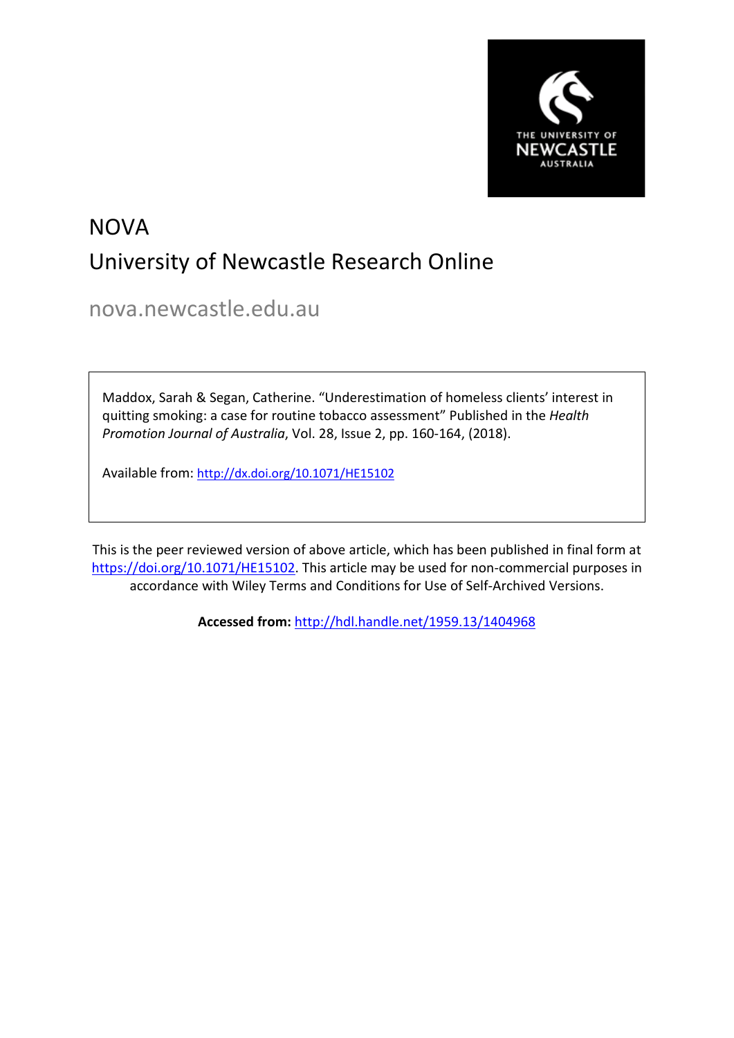

# NOVA University of Newcastle Research Online

nova.newcastle.edu.au

Maddox, Sarah & Segan, Catherine. "Underestimation of homeless clients' interest in quitting smoking: a case for routine tobacco assessment" Published in the *Health Promotion Journal of Australia*, Vol. 28, Issue 2, pp. 160-164, (2018).

Available from: <http://dx.doi.org/10.1071/HE15102>

This is the peer reviewed version of above article, which has been published in final form at [https://doi.org/10.1071/HE15102.](https://doi.org/10.1071/HE15102) This article may be used for non-commercial purposes in accordance with Wiley Terms and Conditions for Use of Self-Archived Versions.

**Accessed from:** <http://hdl.handle.net/1959.13/1404968>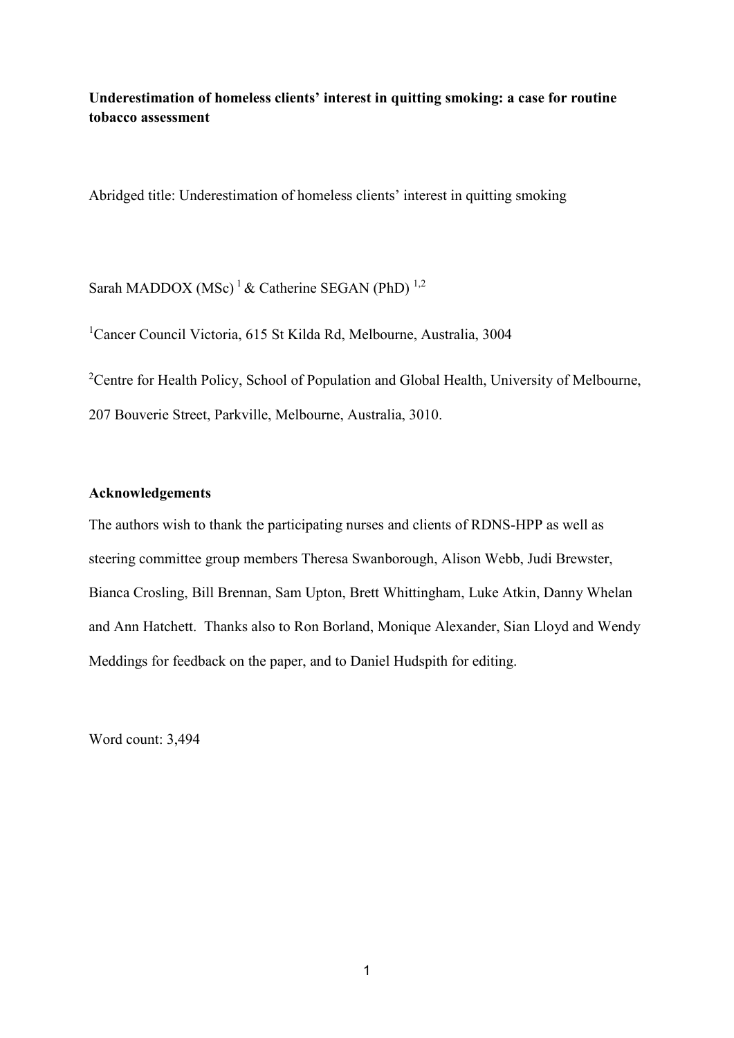**Underestimation of homeless clients' interest in quitting smoking: a case for routine tobacco assessment**

Abridged title: Underestimation of homeless clients' interest in quitting smoking

Sarah MADDOX (MSc)<sup>1</sup> & Catherine SEGAN (PhD)<sup>1,2</sup>

1 Cancer Council Victoria, 615 St Kilda Rd, Melbourne, Australia, 3004

<sup>2</sup>Centre for Health Policy, School of Population and Global Health, University of Melbourne, 207 Bouverie Street, Parkville, Melbourne, Australia, 3010.

# **Acknowledgements**

The authors wish to thank the participating nurses and clients of RDNS-HPP as well as steering committee group members Theresa Swanborough, Alison Webb, Judi Brewster, Bianca Crosling, Bill Brennan, Sam Upton, Brett Whittingham, Luke Atkin, Danny Whelan and Ann Hatchett. Thanks also to Ron Borland, Monique Alexander, Sian Lloyd and Wendy Meddings for feedback on the paper, and to Daniel Hudspith for editing.

Word count: 3,494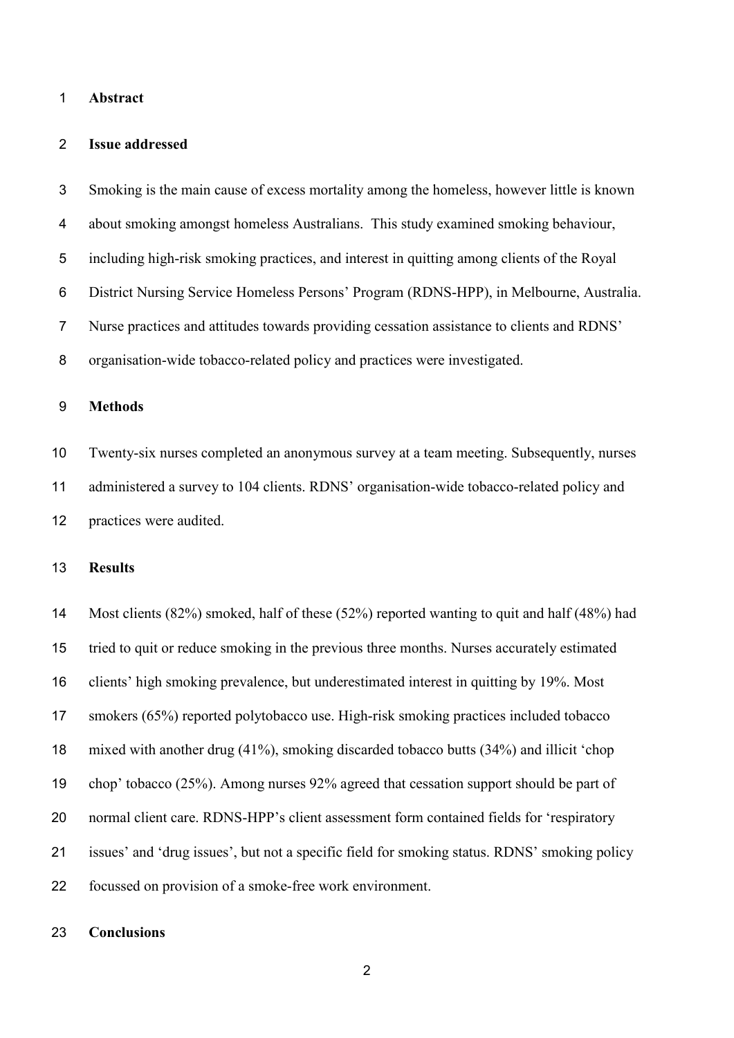#### **Abstract**

#### **Issue addressed**

 Smoking is the main cause of excess mortality among the homeless, however little is known about smoking amongst homeless Australians. This study examined smoking behaviour, including high-risk smoking practices, and interest in quitting among clients of the Royal District Nursing Service Homeless Persons' Program (RDNS-HPP), in Melbourne, Australia. Nurse practices and attitudes towards providing cessation assistance to clients and RDNS' organisation-wide tobacco-related policy and practices were investigated.

# **Methods**

 Twenty-six nurses completed an anonymous survey at a team meeting. Subsequently, nurses administered a survey to 104 clients. RDNS' organisation-wide tobacco-related policy and practices were audited.

## **Results**

 Most clients (82%) smoked, half of these (52%) reported wanting to quit and half (48%) had tried to quit or reduce smoking in the previous three months. Nurses accurately estimated clients' high smoking prevalence, but underestimated interest in quitting by 19%. Most smokers (65%) reported polytobacco use. High-risk smoking practices included tobacco mixed with another drug (41%), smoking discarded tobacco butts (34%) and illicit 'chop chop' tobacco (25%). Among nurses 92% agreed that cessation support should be part of normal client care. RDNS-HPP's client assessment form contained fields for 'respiratory issues' and 'drug issues', but not a specific field for smoking status. RDNS' smoking policy focussed on provision of a smoke-free work environment.

#### **Conclusions**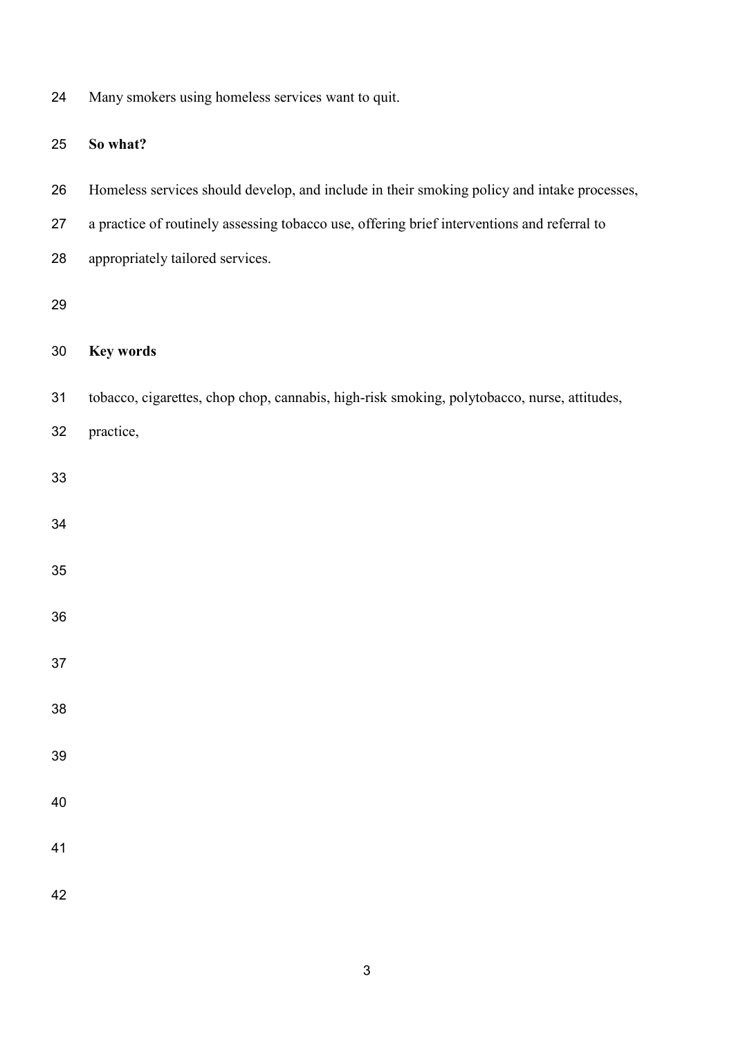| 24 |  | Many smokers using homeless services want to quit. |  |  |
|----|--|----------------------------------------------------|--|--|
|    |  |                                                    |  |  |
|    |  |                                                    |  |  |

# **So what?**

- Homeless services should develop, and include in their smoking policy and intake processes,
- a practice of routinely assessing tobacco use, offering brief interventions and referral to
- appropriately tailored services.

# 

# **Key words**

- tobacco, cigarettes, chop chop, cannabis, high-risk smoking, polytobacco, nurse, attitudes,
- practice,
- 
- 
- 
- 
- 
- 
- 
- 
- 
- 
- 
- 
- 
-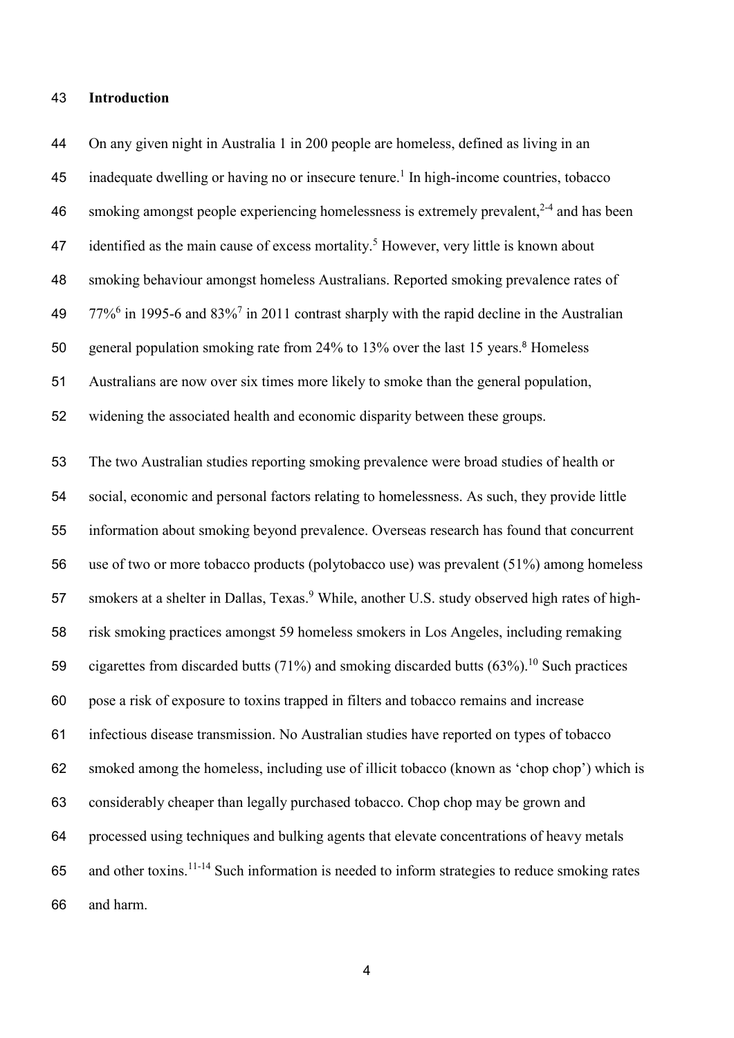#### **Introduction**

 On any given night in Australia 1 in 200 people are homeless, defined as living in an 45 inadequate dwelling or having no or insecure tenure.<sup>[1](#page-16-0)</sup> In high-income countries, tobacco 46 smoking amongst people experiencing homelessness is extremely prevalent.<sup>[2-4](#page-16-1)</sup> and has been 47 identified as the main cause of excess mortality.<sup>[5](#page-16-2)</sup> However, very little is known about smoking behaviour amongst homeless Australians. Reported smoking prevalence rates of 49  $77\%$ <sup>6</sup> in 1995-6 and  $83\%$ <sup>7</sup> in 2011 contrast sharply with the rapid decline in the Australian 50 general population smoking rate from 24% to 13% over the last 15 years[.](#page-16-5)<sup>8</sup> Homeless Australians are now over six times more likely to smoke than the general population, widening the associated health and economic disparity between these groups. The two Australian studies reporting smoking prevalence were broad studies of health or social, economic and personal factors relating to homelessness. As such, they provide little information about smoking beyond prevalence. Overseas research has found that concurrent use of two or more tobacco products (polytobacco use) was prevalent (51%) among homeless 57 smokers at a shelter in Dallas, Texas.<sup>[9](#page-16-6)</sup> While, another U.S. study observed high rates of high- risk smoking practices amongst 59 homeless smokers in Los Angeles, including remaking 59 cigarettes from discarded butts (71%) and smoking discarded butts  $(63\%)$ .<sup>[10](#page-17-0)</sup> Such practices pose a risk of exposure to toxins trapped in filters and tobacco remains and increase infectious disease transmission. No Australian studies have reported on types of tobacco smoked among the homeless, including use of illicit tobacco (known as 'chop chop') which is considerably cheaper than legally purchased tobacco. Chop chop may be grown and processed using techniques and bulking agents that elevate concentrations of heavy metals 65 and other toxins.<sup>11-14</sup> Such information is needed to inform strategies to reduce smoking rates and harm.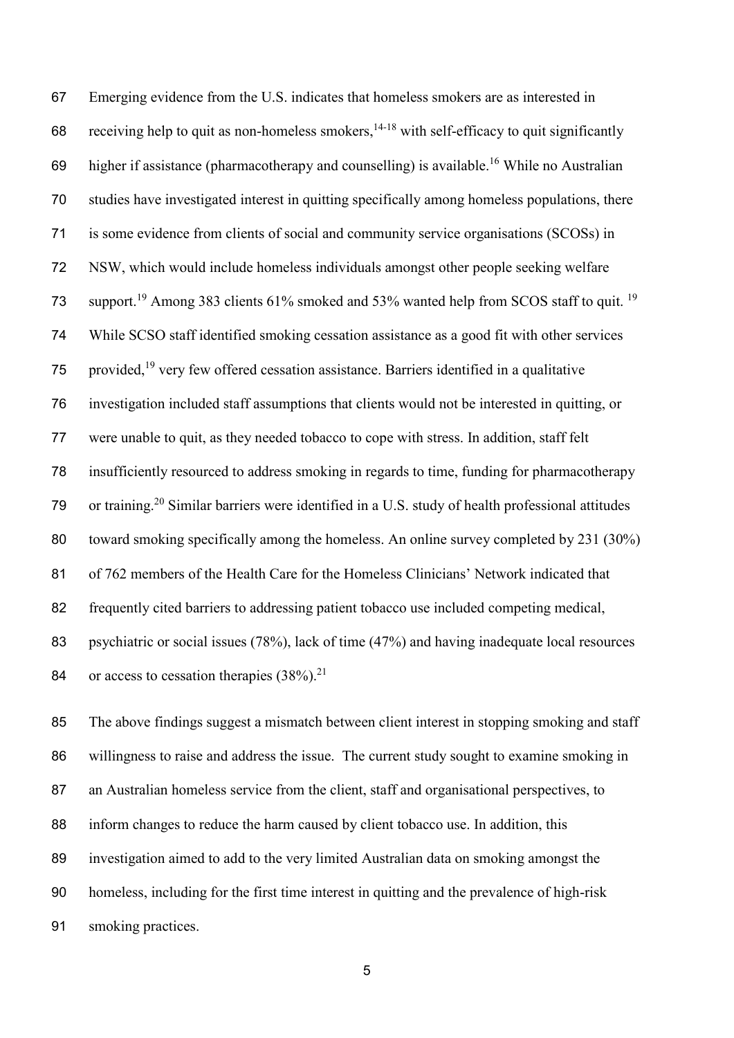Emerging evidence from the U.S. indicates that homeless smokers are as interested in 68 receiving help to quit as non-homeless smokers,  $14-18$  with self-efficacy to quit significantly 69 higher if assistance (pharmacotherapy and counselling) is available.<sup>[16](#page-17-3)</sup> While no Australian studies have investigated interest in quitting specifically among homeless populations, there is some evidence from clients of social and community service organisations (SCOSs) in NSW, which would include homeless individuals amongst other people seeking welfare 73 support.<sup>[19](#page-17-4)</sup> Among 383 clients 61% smoked and 53% wanted help from SCOS staff to quit.<sup>19</sup> While SCSO staff identified smoking cessation assistance as a good fit with other services 75 provided,<sup>[19](#page-17-4)</sup> very few offered cessation assistance. Barriers identified in a qualitative investigation included staff assumptions that clients would not be interested in quitting, or were unable to quit, as they needed tobacco to cope with stress. In addition, staff felt insufficiently resourced to address smoking in regards to time, funding for pharmacotherapy 79 or training.<sup>20</sup> Similar barriers were identified in a U.S. study of health professional attitudes toward smoking specifically among the homeless. An online survey completed by 231 (30%) of 762 members of the Health Care for the Homeless Clinicians' Network indicated that frequently cited barriers to addressing patient tobacco use included competing medical, 83 psychiatric or social issues (78%), lack of time (47%) and having inadequate local resources 84 or access to cessation therapies  $(38\%)$ <sup>21</sup>

 The above findings suggest a mismatch between client interest in stopping smoking and staff willingness to raise and address the issue. The current study sought to examine smoking in 87 an Australian homeless service from the client, staff and organisational perspectives, to inform changes to reduce the harm caused by client tobacco use. In addition, this investigation aimed to add to the very limited Australian data on smoking amongst the homeless, including for the first time interest in quitting and the prevalence of high-risk smoking practices.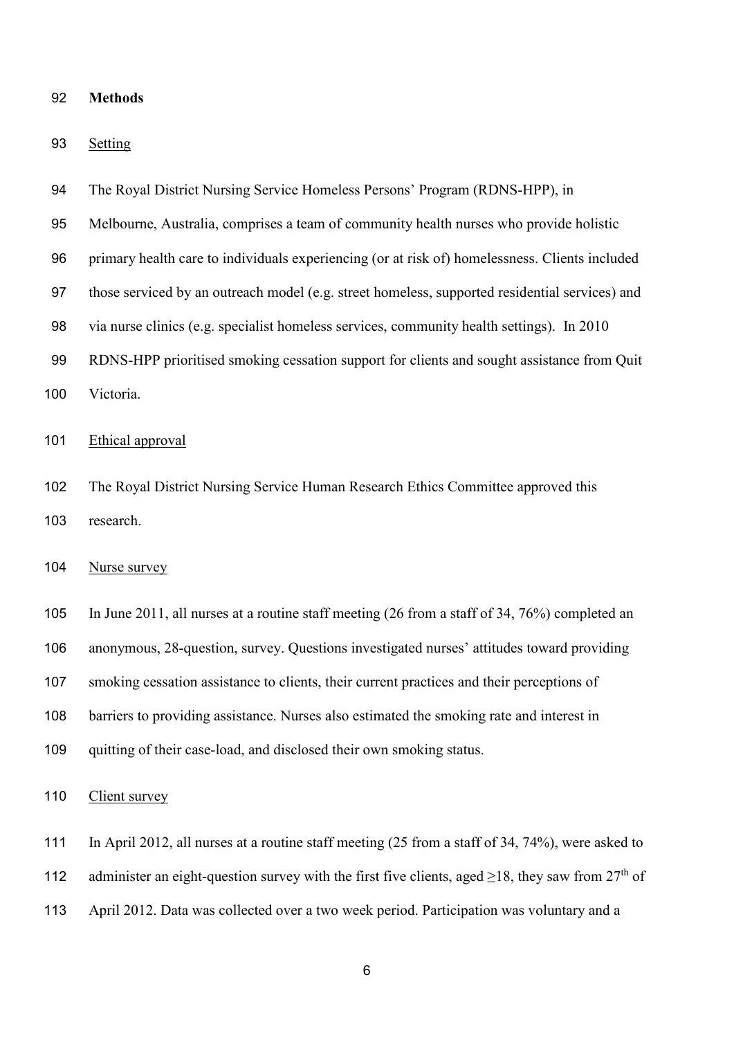| 92 | <b>Methods</b> |  |
|----|----------------|--|
|    |                |  |

Setting

| 94  | The Royal District Nursing Service Homeless Persons' Program (RDNS-HPP), in                    |
|-----|------------------------------------------------------------------------------------------------|
| 95  | Melbourne, Australia, comprises a team of community health nurses who provide holistic         |
| 96  | primary health care to individuals experiencing (or at risk of) homelessness. Clients included |
| 97  | those serviced by an outreach model (e.g. street homeless, supported residential services) and |
| 98  | via nurse clinics (e.g. specialist homeless services, community health settings). In 2010      |
| 99  | RDNS-HPP prioritised smoking cessation support for clients and sought assistance from Quit     |
| 100 | Victoria.                                                                                      |
| 101 | Ethical approval                                                                               |
| 102 | The Royal District Nursing Service Human Research Ethics Committee approved this               |

research.

## Nurse survey

 In June 2011, all nurses at a routine staff meeting (26 from a staff of 34, 76%) completed an anonymous, 28-question, survey. Questions investigated nurses' attitudes toward providing smoking cessation assistance to clients, their current practices and their perceptions of 108 barriers to providing assistance. Nurses also estimated the smoking rate and interest in quitting of their case-load, and disclosed their own smoking status.

110 Client survey

In April 2012, all nurses at a routine staff meeting (25 from a staff of 34, 74%), were asked to

112 administer an eight-question survey with the first five clients, aged  $\geq$ 18, they saw from 27<sup>th</sup> of

April 2012. Data was collected over a two week period. Participation was voluntary and a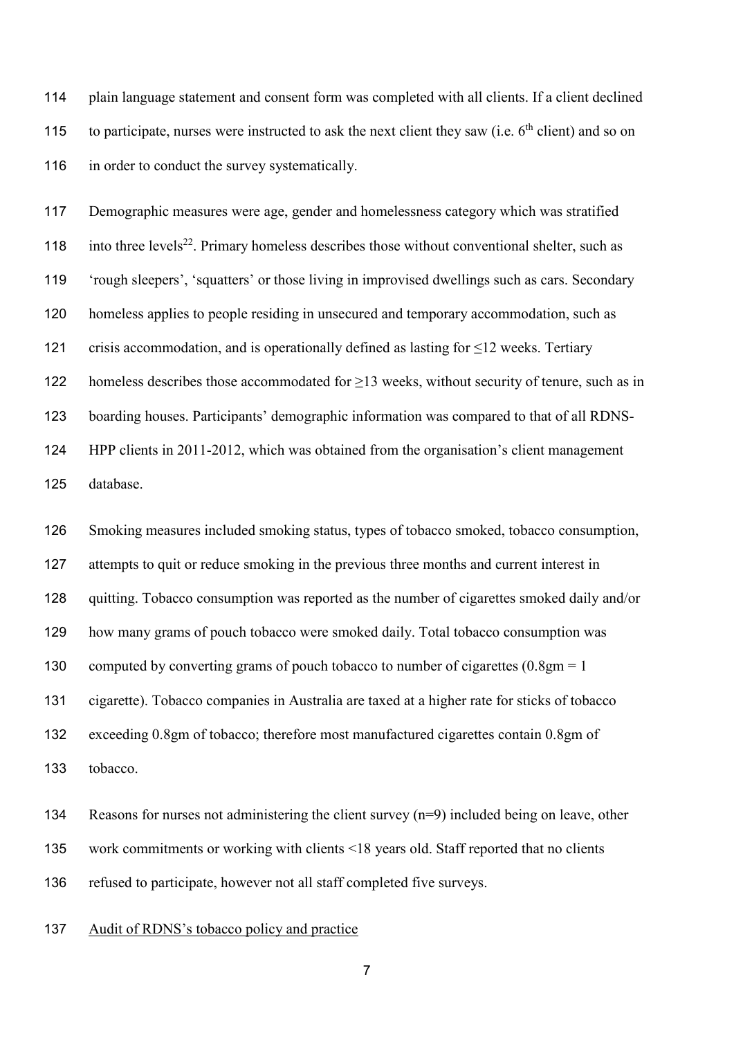plain language statement and consent form was completed with all clients. If a client declined 115 to participate, nurses were instructed to ask the next client they saw (i.e.  $6<sup>th</sup>$  client) and so on 116 in order to conduct the survey systematically.

 Demographic measures were age, gender and homelessness category which was stratified 118 into three levels<sup>[22](#page-17-6)</sup>. Primary homeless describes those without conventional shelter, such as 'rough sleepers', 'squatters' or those living in improvised dwellings such as cars. Secondary homeless applies to people residing in unsecured and temporary accommodation, such as 121 crisis accommodation, and is operationally defined as lasting for  $\leq$ 12 weeks. Tertiary 122 homeless describes those accommodated for  $\geq$ 13 weeks, without security of tenure, such as in boarding houses. Participants' demographic information was compared to that of all RDNS- HPP clients in 2011-2012, which was obtained from the organisation's client management database.

 Smoking measures included smoking status, types of tobacco smoked, tobacco consumption, 127 attempts to quit or reduce smoking in the previous three months and current interest in quitting. Tobacco consumption was reported as the number of cigarettes smoked daily and/or how many grams of pouch tobacco were smoked daily. Total tobacco consumption was 130 computed by converting grams of pouch tobacco to number of cigarettes  $(0.8gm = 1$  cigarette). Tobacco companies in Australia are taxed at a higher rate for sticks of tobacco exceeding 0.8gm of tobacco; therefore most manufactured cigarettes contain 0.8gm of tobacco.

 Reasons for nurses not administering the client survey (n=9) included being on leave, other work commitments or working with clients <18 years old. Staff reported that no clients refused to participate, however not all staff completed five surveys.

Audit of RDNS's tobacco policy and practice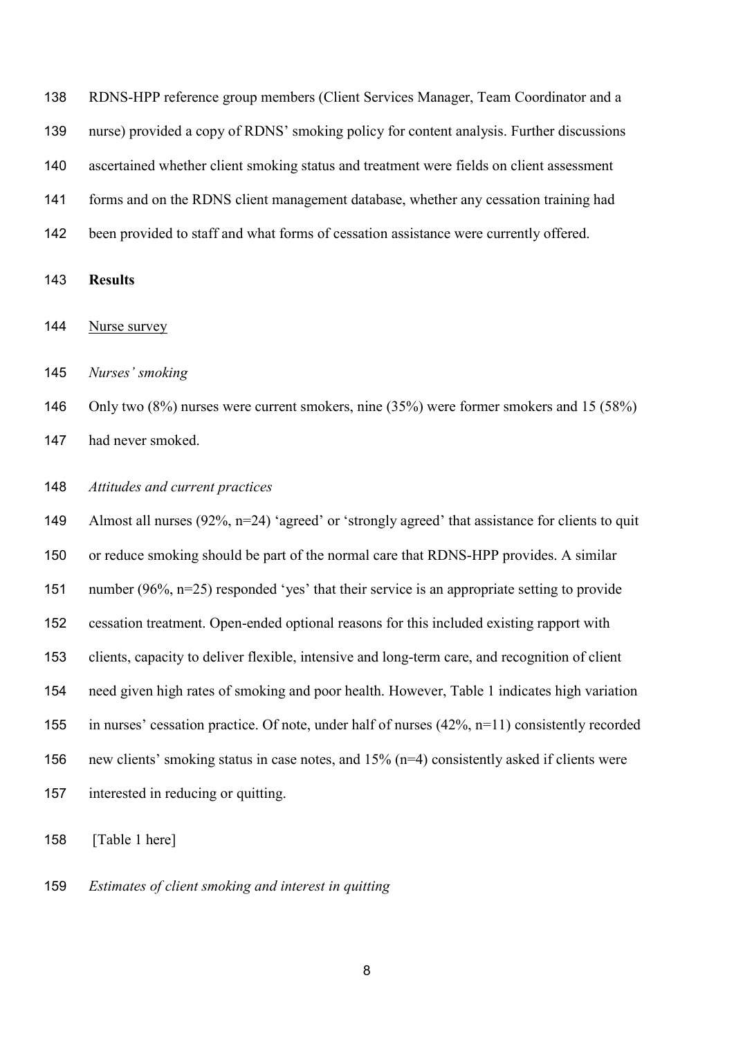RDNS-HPP reference group members (Client Services Manager, Team Coordinator and a nurse) provided a copy of RDNS' smoking policy for content analysis. Further discussions ascertained whether client smoking status and treatment were fields on client assessment forms and on the RDNS client management database, whether any cessation training had been provided to staff and what forms of cessation assistance were currently offered.

**Results**

Nurse survey

*Nurses' smoking*

 Only two (8%) nurses were current smokers, nine (35%) were former smokers and 15 (58%) had never smoked.

#### *Attitudes and current practices*

149 Almost all nurses (92%, n=24) 'agreed' or 'strongly agreed' that assistance for clients to quit or reduce smoking should be part of the normal care that RDNS-HPP provides. A similar number (96%, n=25) responded 'yes' that their service is an appropriate setting to provide cessation treatment. Open-ended optional reasons for this included existing rapport with clients, capacity to deliver flexible, intensive and long-term care, and recognition of client need given high rates of smoking and poor health. However, Table 1 indicates high variation in nurses' cessation practice. Of note, under half of nurses (42%, n=11) consistently recorded new clients' smoking status in case notes, and 15% (n=4) consistently asked if clients were interested in reducing or quitting.

[Table 1 here]

*Estimates of client smoking and interest in quitting*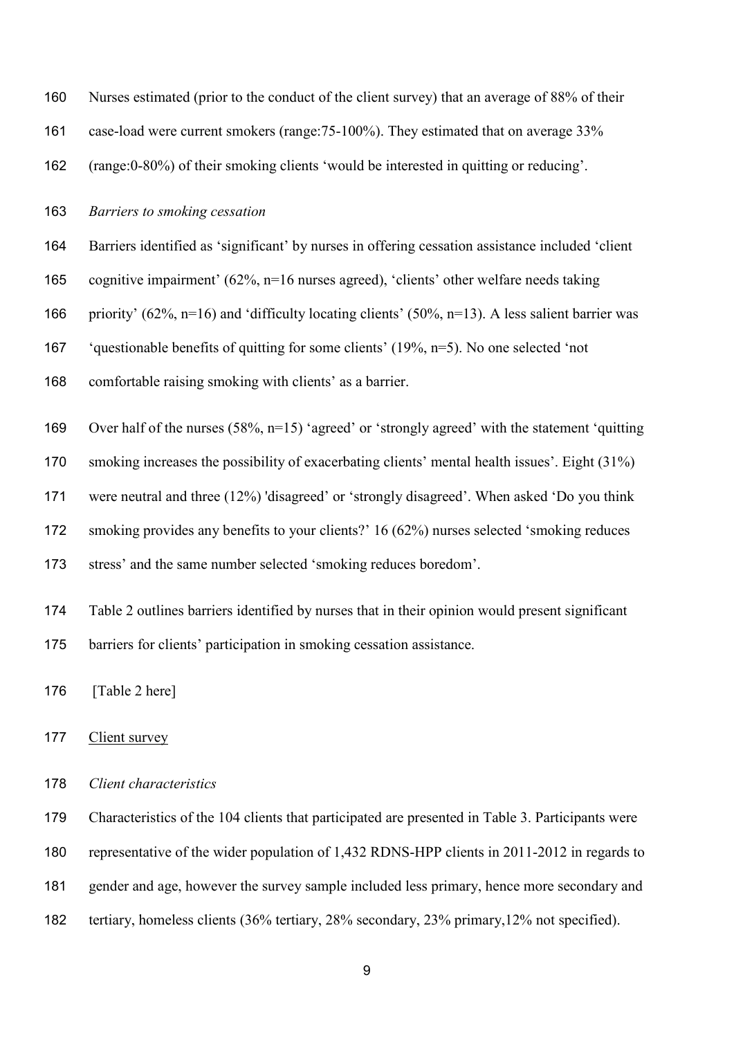| 160 | Nurses estimated (prior to the conduct of the client survey) that an average of 88% of their          |
|-----|-------------------------------------------------------------------------------------------------------|
| 161 | case-load were current smokers (range: 75-100%). They estimated that on average 33%                   |
| 162 | (range:0-80%) of their smoking clients 'would be interested in quitting or reducing'.                 |
| 163 | Barriers to smoking cessation                                                                         |
| 164 | Barriers identified as 'significant' by nurses in offering cessation assistance included 'client      |
| 165 | cognitive impairment' (62%, $n=16$ nurses agreed), 'clients' other welfare needs taking               |
| 166 | priority' (62%, $n=16$ ) and 'difficulty locating clients' (50%, $n=13$ ). A less salient barrier was |
| 167 | 'questionable benefits of quitting for some clients' $(19\%, n=5)$ . No one selected 'not             |
| 168 | comfortable raising smoking with clients' as a barrier.                                               |
| 169 | Over half of the nurses $(58\%, n=15)$ 'agreed' or 'strongly agreed' with the statement 'quitting     |
| 170 | smoking increases the possibility of exacerbating clients' mental health issues'. Eight (31%)         |
| 171 | were neutral and three (12%) 'disagreed' or 'strongly disagreed'. When asked 'Do you think            |
| 172 | smoking provides any benefits to your clients?' 16 (62%) nurses selected 'smoking reduces             |
| 173 | stress' and the same number selected 'smoking reduces boredom'.                                       |
|     |                                                                                                       |

Table 2 outlines barriers identified by nurses that in their opinion would present significant

barriers for clients' participation in smoking cessation assistance.

176 [Table 2 here]

# 177 Client survey

# *Client characteristics*

Characteristics of the 104 clients that participated are presented in Table 3. Participants were

representative of the wider population of 1,432 RDNS-HPP clients in 2011-2012 in regards to

gender and age, however the survey sample included less primary, hence more secondary and

tertiary, homeless clients (36% tertiary, 28% secondary, 23% primary,12% not specified).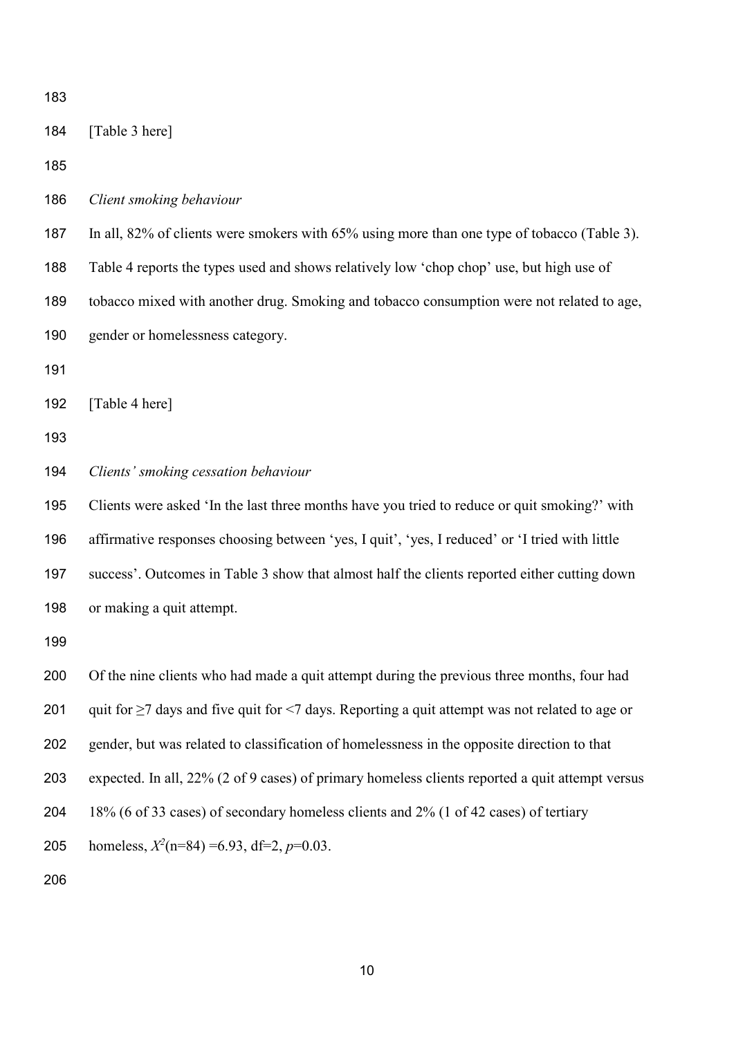| 183 |                                                                                                      |
|-----|------------------------------------------------------------------------------------------------------|
| 184 | [Table 3 here]                                                                                       |
| 185 |                                                                                                      |
| 186 | Client smoking behaviour                                                                             |
| 187 | In all, 82% of clients were smokers with 65% using more than one type of tobacco (Table 3).          |
| 188 | Table 4 reports the types used and shows relatively low 'chop chop' use, but high use of             |
| 189 | tobacco mixed with another drug. Smoking and tobacco consumption were not related to age,            |
| 190 | gender or homelessness category.                                                                     |
| 191 |                                                                                                      |
| 192 | [Table 4 here]                                                                                       |
| 193 |                                                                                                      |
| 194 | Clients' smoking cessation behaviour                                                                 |
| 195 | Clients were asked 'In the last three months have you tried to reduce or quit smoking?' with         |
| 196 | affirmative responses choosing between 'yes, I quit', 'yes, I reduced' or 'I tried with little       |
| 197 | success'. Outcomes in Table 3 show that almost half the clients reported either cutting down         |
| 198 | or making a quit attempt.                                                                            |
| 199 |                                                                                                      |
| 200 | Of the nine clients who had made a quit attempt during the previous three months, four had           |
| 201 | quit for $\geq$ 7 days and five quit for <7 days. Reporting a quit attempt was not related to age or |
| 202 | gender, but was related to classification of homelessness in the opposite direction to that          |
| 203 | expected. In all, 22% (2 of 9 cases) of primary homeless clients reported a quit attempt versus      |
| 204 | 18% (6 of 33 cases) of secondary homeless clients and 2% (1 of 42 cases) of tertiary                 |
| 205 | homeless, $X^2$ (n=84) =6.93, df=2, p=0.03.                                                          |
| 206 |                                                                                                      |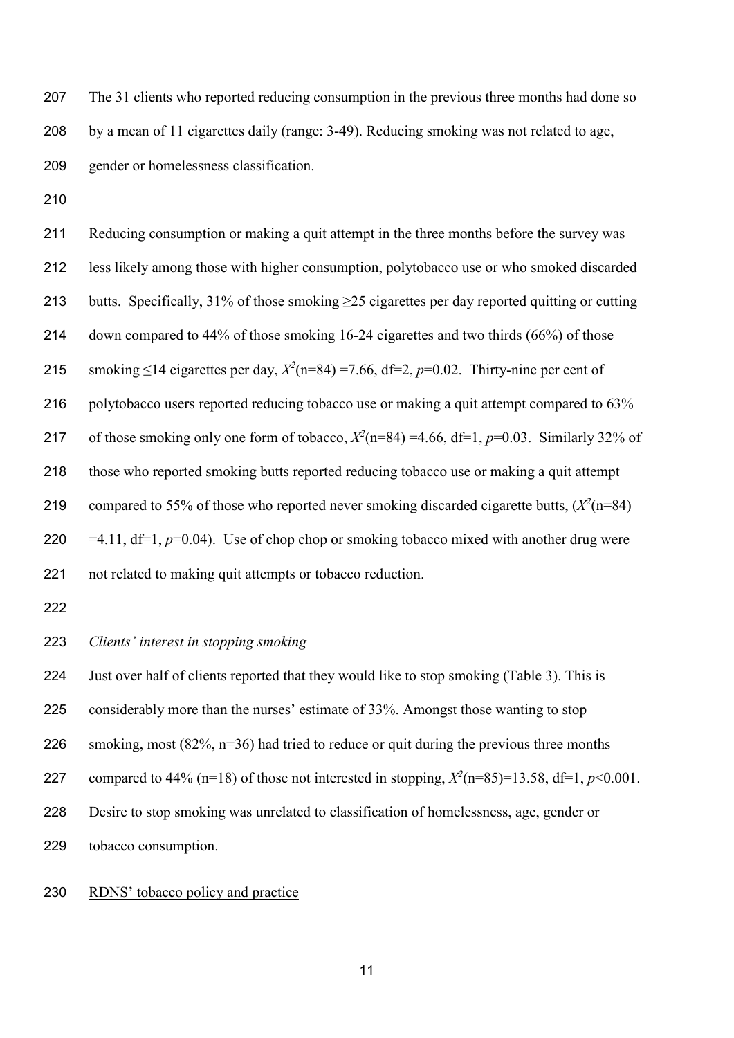The 31 clients who reported reducing consumption in the previous three months had done so by a mean of 11 cigarettes daily (range: 3-49). Reducing smoking was not related to age, gender or homelessness classification.

 Reducing consumption or making a quit attempt in the three months before the survey was less likely among those with higher consumption, polytobacco use or who smoked discarded 213 butts. Specifically,  $31\%$  of those smoking  $\geq 25$  cigarettes per day reported quitting or cutting down compared to 44% of those smoking 16-24 cigarettes and two thirds (66%) of those 215 smoking ≤14 cigarettes per day,  $X^2(n=84) = 7.66$ , df=2,  $p=0.02$ . Thirty-nine per cent of 216 polytobacco users reported reducing tobacco use or making a quit attempt compared to 63% 217 of those smoking only one form of tobacco,  $X^2(n=84) = 4.66$ , df=1,  $p=0.03$ . Similarly 32% of those who reported smoking butts reported reducing tobacco use or making a quit attempt 219 compared to 55% of those who reported never smoking discarded cigarette butts,  $(X^2(n=84))$ 220  $=4.11$ , df=1,  $p=0.04$ ). Use of chop chop or smoking tobacco mixed with another drug were not related to making quit attempts or tobacco reduction.

# *Clients' interest in stopping smoking*

 Just over half of clients reported that they would like to stop smoking (Table 3). This is considerably more than the nurses' estimate of 33%. Amongst those wanting to stop 226 smoking, most  $(82\%, n=36)$  had tried to reduce or quit during the previous three months compared to 44% (n=18) of those not interested in stopping,  $X^2$ (n=85)=13.58, df=1,  $p$ <0.001. Desire to stop smoking was unrelated to classification of homelessness, age, gender or tobacco consumption.

#### RDNS' tobacco policy and practice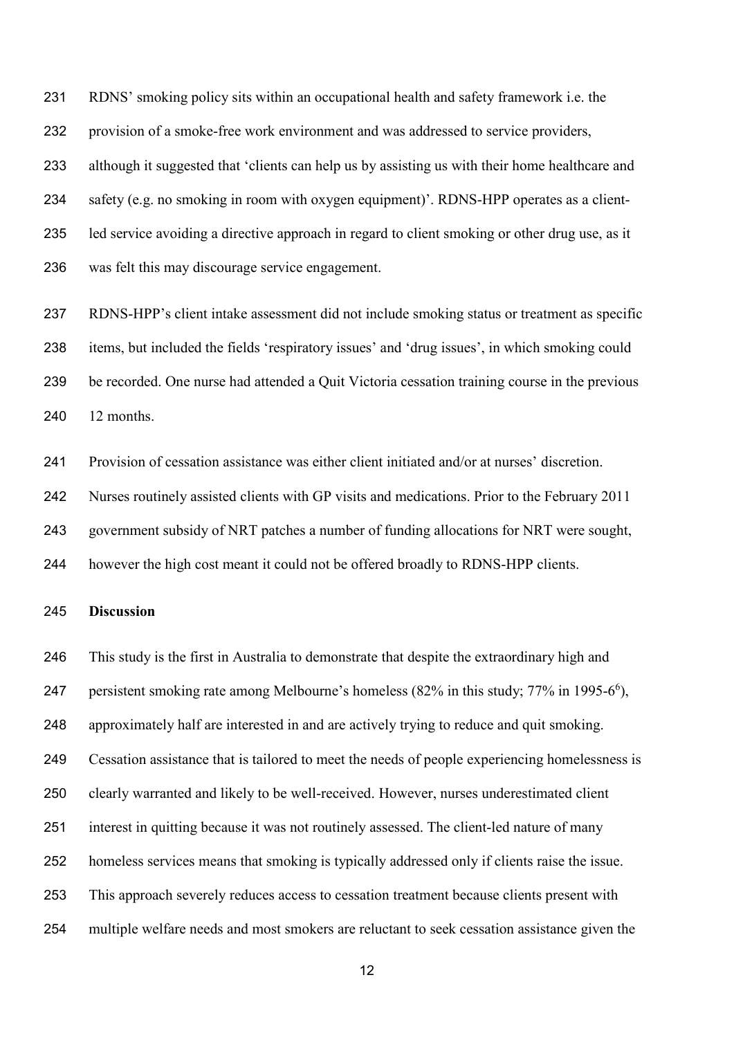RDNS' smoking policy sits within an occupational health and safety framework i.e. the provision of a smoke-free work environment and was addressed to service providers, although it suggested that 'clients can help us by assisting us with their home healthcare and safety (e.g. no smoking in room with oxygen equipment)'. RDNS-HPP operates as a client- led service avoiding a directive approach in regard to client smoking or other drug use, as it was felt this may discourage service engagement.

 RDNS-HPP's client intake assessment did not include smoking status or treatment as specific items, but included the fields 'respiratory issues' and 'drug issues', in which smoking could be recorded. One nurse had attended a Quit Victoria cessation training course in the previous 12 months.

Provision of cessation assistance was either client initiated and/or at nurses' discretion.

Nurses routinely assisted clients with GP visits and medications. Prior to the February 2011

government subsidy of NRT patches a number of funding allocations for NRT were sought,

however the high cost meant it could not be offered broadly to RDNS-HPP clients.

## **Discussion**

 This study is the first in Australia to demonstrate that despite the extraordinary high and 247 persistent smoking rate among Melbourne's homeless  $(82\%$  in this study;  $77\%$  in 1995-6<sup>6</sup>[\)](#page-16-3), approximately half are interested in and are actively trying to reduce and quit smoking. Cessation assistance that is tailored to meet the needs of people experiencing homelessness is clearly warranted and likely to be well-received. However, nurses underestimated client interest in quitting because it was not routinely assessed. The client-led nature of many homeless services means that smoking is typically addressed only if clients raise the issue. This approach severely reduces access to cessation treatment because clients present with multiple welfare needs and most smokers are reluctant to seek cessation assistance given the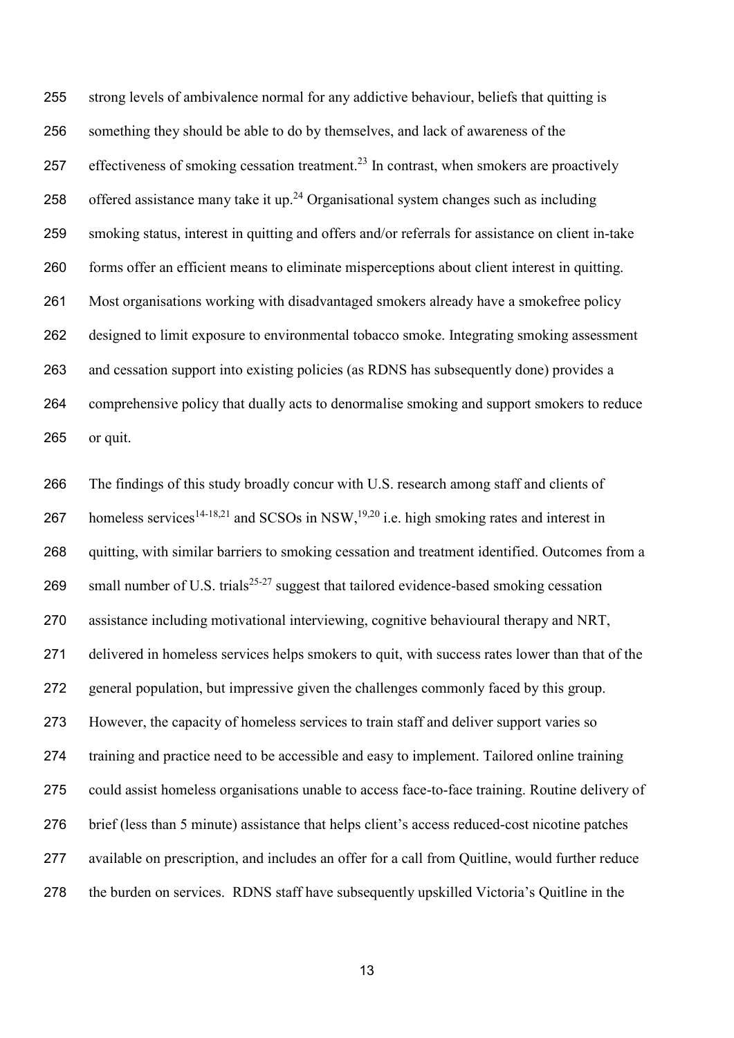strong levels of ambivalence normal for any addictive behaviour, beliefs that quitting is something they should be able to do by themselves, and lack of awareness of the 257 effectiveness of smoking cessation treatment.<sup>[23](#page-17-7)</sup> In contrast, when smokers are proactively 258 offered assistance many take it up.<sup>[24](#page-18-0)</sup> Organisational system changes such as including smoking status, interest in quitting and offers and/or referrals for assistance on client in-take forms offer an efficient means to eliminate misperceptions about client interest in quitting. Most organisations working with disadvantaged smokers already have a smokefree policy designed to limit exposure to environmental tobacco smoke. Integrating smoking assessment and cessation support into existing policies (as RDNS has subsequently done) provides a comprehensive policy that dually acts to denormalise smoking and support smokers to reduce or quit.

 The findings of this study broadly concur with U.S. research among staff and clients of 267 homeless services<sup>[14-18,](#page-17-2)21</sup> and SCSOs in NSW,<sup>19[,20](#page-17-5)</sup> i.e. high smoking rates and interest in quitting, with similar barriers to smoking cessation and treatment identified. Outcomes from a 269 small number of U.S. trials<sup>[25-27](#page-18-1)</sup> suggest that tailored evidence-based smoking cessation assistance including motivational interviewing, cognitive behavioural therapy and NRT, delivered in homeless services helps smokers to quit, with success rates lower than that of the general population, but impressive given the challenges commonly faced by this group. However, the capacity of homeless services to train staff and deliver support varies so training and practice need to be accessible and easy to implement. Tailored online training could assist homeless organisations unable to access face-to-face training. Routine delivery of brief (less than 5 minute) assistance that helps client's access reduced-cost nicotine patches available on prescription, and includes an offer for a call from Quitline, would further reduce the burden on services. RDNS staff have subsequently upskilled Victoria's Quitline in the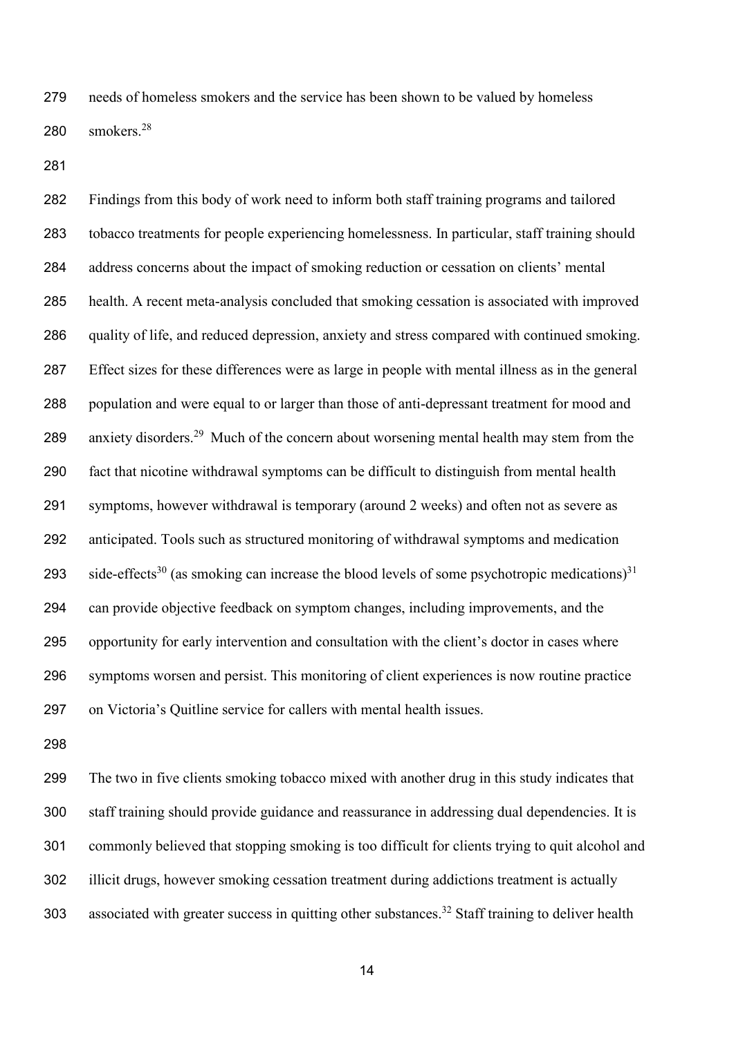needs of homeless smokers and the service has been shown to be valued by homeless 0 smokers.<sup>28</sup>

 Findings from this body of work need to inform both staff training programs and tailored tobacco treatments for people experiencing homelessness. In particular, staff training should address concerns about the impact of smoking reduction or cessation on clients' mental health. A recent meta-analysis concluded that smoking cessation is associated with improved quality of life, and reduced depression, anxiety and stress compared with continued smoking. Effect sizes for these differences were as large in people with mental illness as in the general population and were equal to or larger than those of anti-depressant treatment for mood and 289 anxiety disorders.<sup>[29](#page-18-3)</sup> Much of the concern about worsening mental health may stem from the fact that nicotine withdrawal symptoms can be difficult to distinguish from mental health symptoms, however withdrawal is temporary (around 2 weeks) and often not as severe as anticipated. Tools such as structured monitoring of withdrawal symptoms and medication 293 side-effects<sup>[30](#page-18-4)</sup> (as smoking can increase the blood levels of some psychotropic medications)<sup>[31](#page-18-5)</sup> can provide objective feedback on symptom changes, including improvements, and the opportunity for early intervention and consultation with the client's doctor in cases where symptoms worsen and persist. This monitoring of client experiences is now routine practice on Victoria's Quitline service for callers with mental health issues.

 The two in five clients smoking tobacco mixed with another drug in this study indicates that staff training should provide guidance and reassurance in addressing dual dependencies. It is commonly believed that stopping smoking is too difficult for clients trying to quit alcohol and illicit drugs, however smoking cessation treatment during addictions treatment is actually 303 associated with greater success in quitting other substances.<sup>[32](#page-18-6)</sup> Staff training to deliver health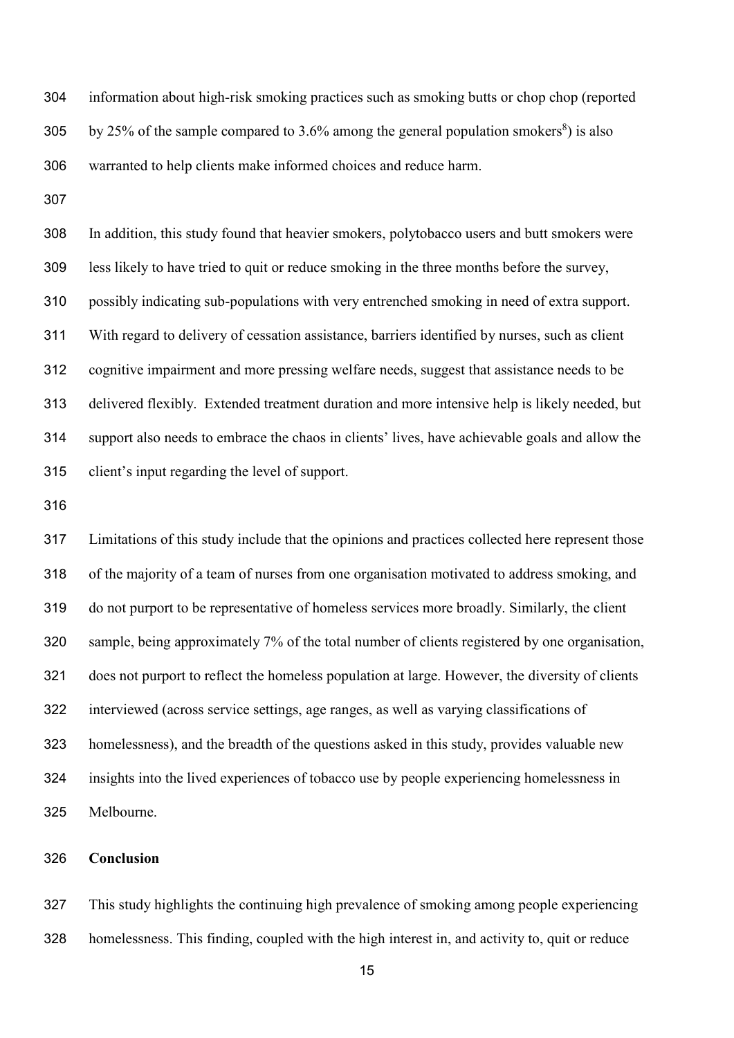information about high-risk smoking practices such as smoking butts or chop chop (reported 305 by 25% of the sample compared to 3.6% among the general population smokers<sup>[8](#page-16-5)</sup>) is also warranted to help clients make informed choices and reduce harm.

 In addition, this study found that heavier smokers, polytobacco users and butt smokers were less likely to have tried to quit or reduce smoking in the three months before the survey, possibly indicating sub-populations with very entrenched smoking in need of extra support. With regard to delivery of cessation assistance, barriers identified by nurses, such as client cognitive impairment and more pressing welfare needs, suggest that assistance needs to be delivered flexibly. Extended treatment duration and more intensive help is likely needed, but support also needs to embrace the chaos in clients' lives, have achievable goals and allow the client's input regarding the level of support.

 Limitations of this study include that the opinions and practices collected here represent those of the majority of a team of nurses from one organisation motivated to address smoking, and do not purport to be representative of homeless services more broadly. Similarly, the client sample, being approximately 7% of the total number of clients registered by one organisation, does not purport to reflect the homeless population at large. However, the diversity of clients interviewed (across service settings, age ranges, as well as varying classifications of homelessness), and the breadth of the questions asked in this study, provides valuable new insights into the lived experiences of tobacco use by people experiencing homelessness in Melbourne.

# **Conclusion**

 This study highlights the continuing high prevalence of smoking among people experiencing homelessness. This finding, coupled with the high interest in, and activity to, quit or reduce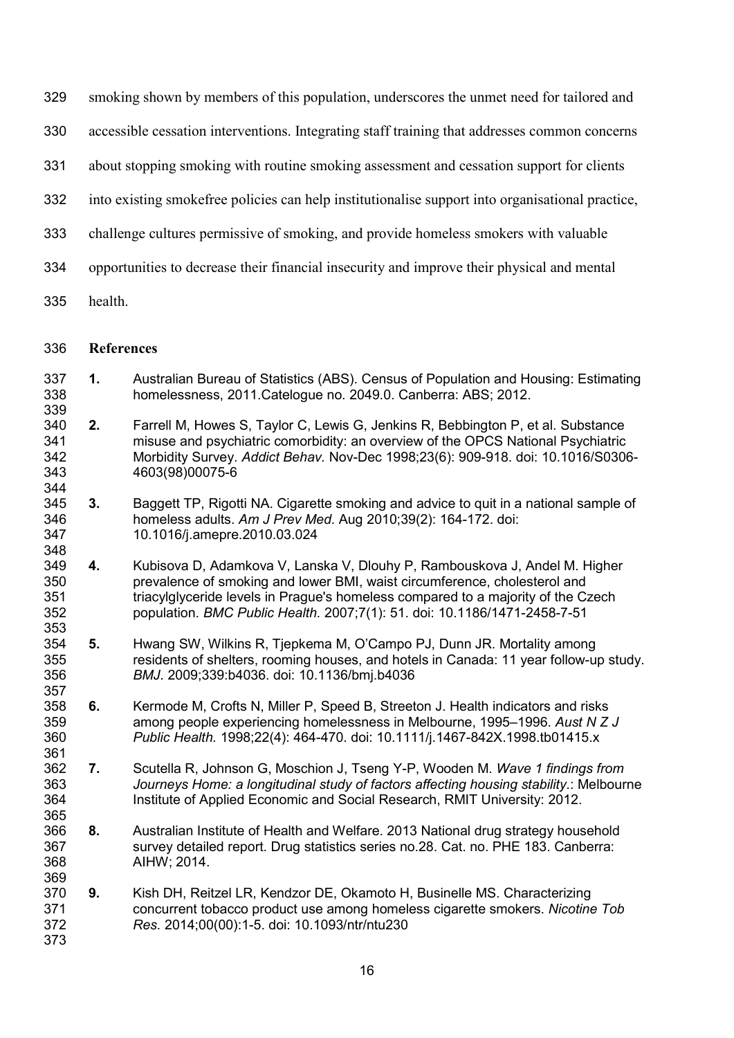- smoking shown by members of this population, underscores the unmet need for tailored and
- accessible cessation interventions. Integrating staff training that addresses common concerns
- about stopping smoking with routine smoking assessment and cessation support for clients
- into existing smokefree policies can help institutionalise support into organisational practice,
- challenge cultures permissive of smoking, and provide homeless smokers with valuable
- opportunities to decrease their financial insecurity and improve their physical and mental
- health.

#### **References**

- <span id="page-16-0"></span> **1.** Australian Bureau of Statistics (ABS). Census of Population and Housing: Estimating homelessness, 2011.Catelogue no. 2049.0. Canberra: ABS; 2012.
- <span id="page-16-1"></span> **2.** Farrell M, Howes S, Taylor C, Lewis G, Jenkins R, Bebbington P, et al. Substance misuse and psychiatric comorbidity: an overview of the OPCS National Psychiatric Morbidity Survey. *Addict Behav.* Nov-Dec 1998;23(6): 909-918. doi: 10.1016/S0306- 4603(98)00075-6
- **3.** Baggett TP, Rigotti NA. Cigarette smoking and advice to quit in a national sample of homeless adults. *Am J Prev Med.* Aug 2010;39(2): 164-172. doi: 10.1016/j.amepre.2010.03.024
- 348<br>349 **4.** Kubisova D, Adamkova V, Lanska V, Dlouhy P, Rambouskova J, Andel M. Higher prevalence of smoking and lower BMI, waist circumference, cholesterol and triacylglyceride levels in Prague's homeless compared to a majority of the Czech population. *BMC Public Health.* 2007;7(1): 51. doi: 10.1186/1471-2458-7-51
- <span id="page-16-2"></span> **5.** Hwang SW, Wilkins R, Tjepkema M, O'Campo PJ, Dunn JR. Mortality among residents of shelters, rooming houses, and hotels in Canada: 11 year follow-up study. *BMJ*. 2009;339:b4036. doi: 10.1136/bmj.b4036
- <span id="page-16-3"></span> **6.** Kermode M, Crofts N, Miller P, Speed B, Streeton J. Health indicators and risks among people experiencing homelessness in Melbourne, 1995–1996. *Aust N Z J Public Health.* 1998;22(4): 464-470. doi: 10.1111/j.1467-842X.1998.tb01415.x
- <span id="page-16-4"></span> **7.** Scutella R, Johnson G, Moschion J, Tseng Y-P, Wooden M. *Wave 1 findings from Journeys Home: a longitudinal study of factors affecting housing stability.*: Melbourne Institute of Applied Economic and Social Research, RMIT University: 2012.
- <span id="page-16-5"></span> **8.** Australian Institute of Health and Welfare. 2013 National drug strategy household survey detailed report. Drug statistics series no.28. Cat. no. PHE 183. Canberra: AIHW; 2014.
- <span id="page-16-6"></span> **9.** Kish DH, Reitzel LR, Kendzor DE, Okamoto H, Businelle MS. Characterizing concurrent tobacco product use among homeless cigarette smokers. *Nicotine Tob Res.* 2014;00(00):1-5. doi: 10.1093/ntr/ntu230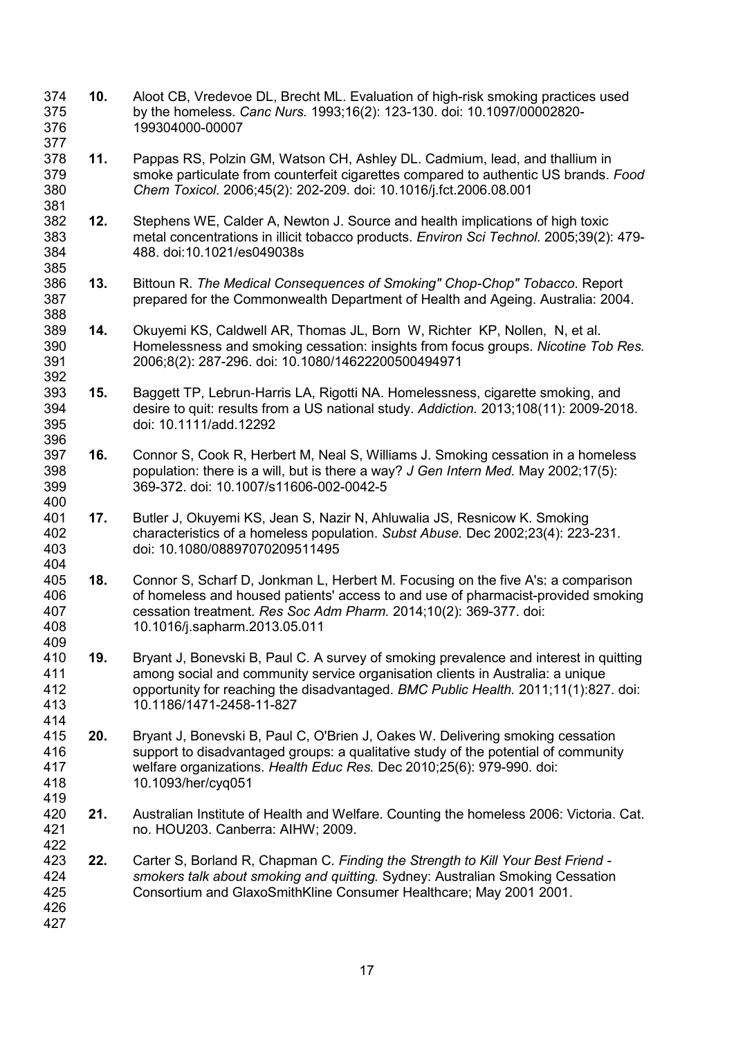<span id="page-17-7"></span><span id="page-17-6"></span><span id="page-17-5"></span><span id="page-17-4"></span><span id="page-17-3"></span><span id="page-17-2"></span><span id="page-17-1"></span>377<br>378 **11.** Pappas RS, Polzin GM, Watson CH, Ashley DL. Cadmium, lead, and thallium in smoke particulate from counterfeit cigarettes compared to authentic US brands. *Food Chem Toxicol.* 2006;45(2): 202-209. doi: 10.1016/j.fct.2006.08.001 381<br>382 **12.** Stephens WE, Calder A, Newton J. Source and health implications of high toxic metal concentrations in illicit tobacco products. *Environ Sci Technol.* 2005;39(2): 479- 488. doi:10.1021/es049038s **13.** Bittoun R. *The Medical Consequences of Smoking" Chop-Chop" Tobacco*. Report prepared for the Commonwealth Department of Health and Ageing. Australia: 2004. **14.** Okuyemi KS, Caldwell AR, Thomas JL, Born W, Richter KP, Nollen, N, et al. Homelessness and smoking cessation: insights from focus groups. *Nicotine Tob Res.*  2006;8(2): 287-296. doi: 10.1080/14622200500494971 **15.** Baggett TP, Lebrun-Harris LA, Rigotti NA. Homelessness, cigarette smoking, and<br>394 desire to quit: results from a US national study. Addiction. 2013:108(11): 2009-201 desire to quit: results from a US national study. *Addiction.* 2013;108(11): 2009-2018. doi: 10.1111/add.12292 396<br>397 **16.** Connor S, Cook R, Herbert M, Neal S, Williams J. Smoking cessation in a homeless population: there is a will, but is there a way? *J Gen Intern Med.* May 2002;17(5): 369-372. doi: 10.1007/s11606-002-0042-5 400<br>401 **17.** Butler J, Okuyemi KS, Jean S, Nazir N, Ahluwalia JS, Resnicow K. Smoking characteristics of a homeless population. *Subst Abuse.* Dec 2002;23(4): 223-231. doi: 10.1080/08897070209511495 404<br>405 **18.** Connor S, Scharf D, Jonkman L, Herbert M. Focusing on the five A's: a comparison of homeless and housed patients' access to and use of pharmacist-provided smoking cessation treatment. *Res Soc Adm Pharm.* 2014;10(2): 369-377. doi: 10.1016/j.sapharm.2013.05.011 **19.** Bryant J, Bonevski B, Paul C. A survey of smoking prevalence and interest in quitting among social and community service organisation clients in Australia: a unique opportunity for reaching the disadvantaged. *BMC Public Health.* 2011;11(1):827. doi: 10.1186/1471-2458-11-827 414<br>415 **20.** Bryant J, Bonevski B, Paul C, O'Brien J, Oakes W. Delivering smoking cessation 416 support to disadvantaged groups: a qualitative study of the potential of community<br>417 welfare organizations. Health Educ Res. Dec 2010:25(6): 979-990. doi: welfare organizations. *Health Educ Res.* Dec 2010;25(6): 979-990. doi: 10.1093/her/cyq051 **21.** Australian Institute of Health and Welfare. Counting the homeless 2006: Victoria. Cat. no. HOU203. Canberra: AIHW; 2009. 422<br>423 **22.** Carter S, Borland R, Chapman C. *Finding the Strength to Kill Your Best Friend - smokers talk about smoking and quitting.* Sydney: Australian Smoking Cessation Consortium and GlaxoSmithKline Consumer Healthcare; May 2001 2001. 

<span id="page-17-0"></span>**10.** Aloot CB, Vredevoe DL, Brecht ML. Evaluation of high-risk smoking practices used

by the homeless. *Canc Nurs.* 1993;16(2): 123-130. doi: 10.1097/00002820-

199304000-00007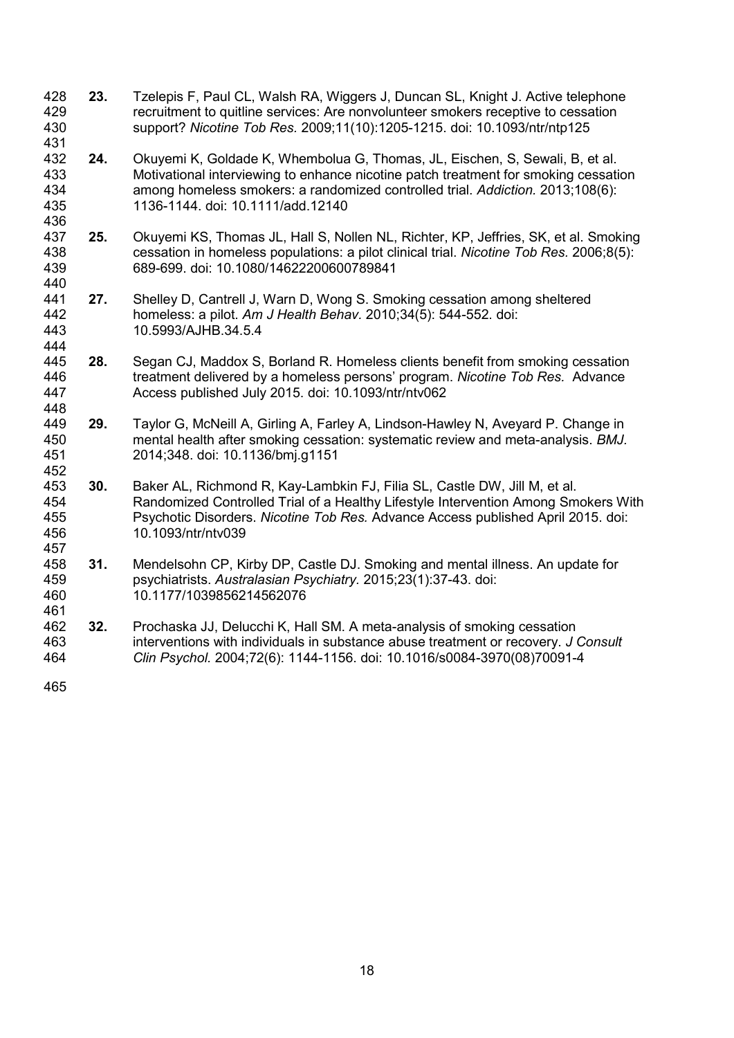- <span id="page-18-0"></span> **23.** Tzelepis F, Paul CL, Walsh RA, Wiggers J, Duncan SL, Knight J. Active telephone 429 recruitment to quitline services: Are nonvolunteer smokers receptive to cessation<br>430 support? Nicotine Tob Res. 2009;11(10):1205-1215. doi: 10.1093/ntr/ntp125 support? *Nicotine Tob Res.* 2009;11(10):1205-1215. doi: 10.1093/ntr/ntp125
- <span id="page-18-1"></span>431<br>432 24. Okuyemi K, Goldade K, Whembolua G, Thomas, JL, Eischen, S, Sewali, B, et al. Motivational interviewing to enhance nicotine patch treatment for smoking cessation among homeless smokers: a randomized controlled trial. *Addiction.* 2013;108(6): 1136-1144. doi: 10.1111/add.12140
- 436<br>437 **25.** Okuyemi KS, Thomas JL, Hall S, Nollen NL, Richter, KP, Jeffries, SK, et al. Smoking cessation in homeless populations: a pilot clinical trial. *Nicotine Tob Res.* 2006;8(5): 689-699. doi: 10.1080/14622200600789841
- **27.** Shelley D, Cantrell J, Warn D, Wong S. Smoking cessation among sheltered homeless: a pilot. *Am J Health Behav.* 2010;34(5): 544-552. doi: 10.5993/AJHB.34.5.4
- <span id="page-18-2"></span>444<br>445 445 **28.** Segan CJ, Maddox S, Borland R. Homeless clients benefit from smoking cessation<br>446 treatment delivered by a homeless persons' program. Nicotine Tob Res. Advance treatment delivered by a homeless persons' program. *Nicotine Tob Res.* Advance Access published July 2015. doi: 10.1093/ntr/ntv062
- <span id="page-18-3"></span> **29.** Taylor G, McNeill A, Girling A, Farley A, Lindson-Hawley N, Aveyard P. Change in mental health after smoking cessation: systematic review and meta-analysis. *BMJ.*  2014;348. doi: 10.1136/bmj.g1151
- <span id="page-18-4"></span>452<br>453 **30.** Baker AL, Richmond R, Kay-Lambkin FJ, Filia SL, Castle DW, Jill M, et al. Randomized Controlled Trial of a Healthy Lifestyle Intervention Among Smokers With Psychotic Disorders. *Nicotine Tob Res.* Advance Access published April 2015. doi: 10.1093/ntr/ntv039
- <span id="page-18-5"></span> **31.** Mendelsohn CP, Kirby DP, Castle DJ. Smoking and mental illness. An update for psychiatrists. *Australasian Psychiatry.* 2015;23(1):37-43. doi: 10.1177/1039856214562076
- <span id="page-18-6"></span> **32.** Prochaska JJ, Delucchi K, Hall SM. A meta-analysis of smoking cessation interventions with individuals in substance abuse treatment or recovery. *J Consult Clin Psychol.* 2004;72(6): 1144-1156. doi: 10.1016/s0084-3970(08)70091-4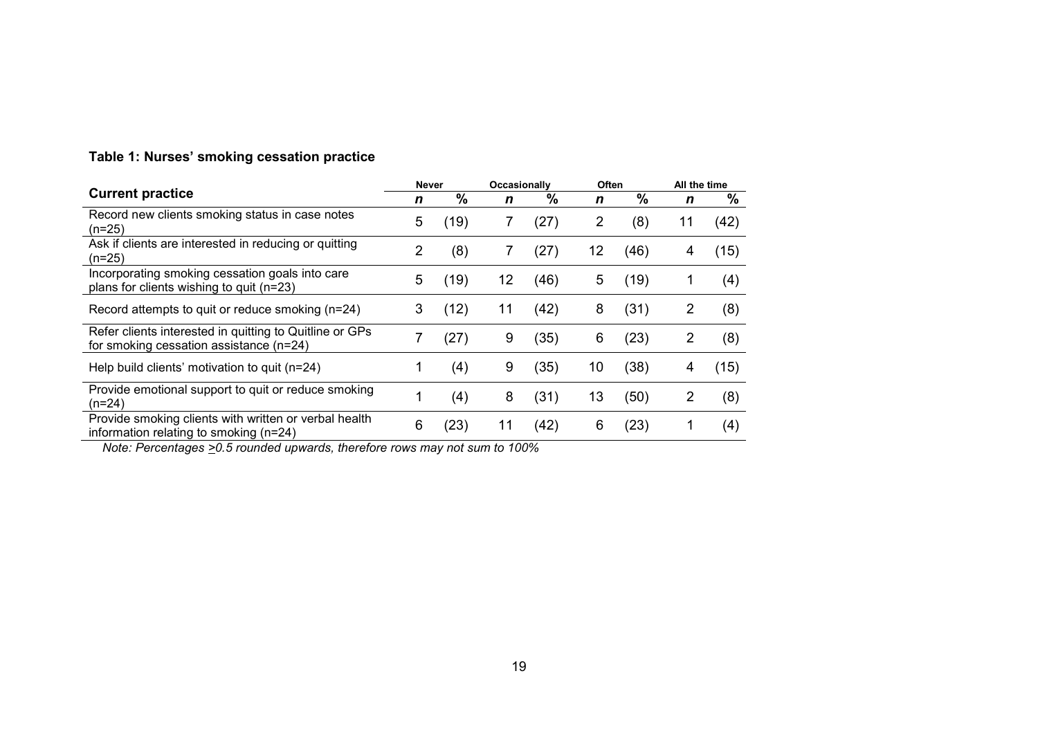| <b>Current practice</b>                                                                              |   | <b>Never</b>  |    | Occasionally |    | Often         |                | All the time |  |
|------------------------------------------------------------------------------------------------------|---|---------------|----|--------------|----|---------------|----------------|--------------|--|
|                                                                                                      |   | $\frac{9}{6}$ | n  | %            | n  | $\frac{9}{6}$ | n              | %            |  |
| Record new clients smoking status in case notes<br>$(n=25)$                                          | 5 | (19)          | 7  | (27)         | 2  | (8)           | 11             | (42)         |  |
| Ask if clients are interested in reducing or quitting<br>$(n=25)$                                    | 2 | (8)           | 7  | (27)         | 12 | (46)          | 4              | (15)         |  |
| Incorporating smoking cessation goals into care<br>plans for clients wishing to quit (n=23)          | 5 | (19)          | 12 | (46)         | 5  | (19)          |                | (4)          |  |
| Record attempts to quit or reduce smoking (n=24)                                                     | 3 | (12)          | 11 | (42)         | 8  | (31)          | $\overline{2}$ | (8)          |  |
| Refer clients interested in quitting to Quitline or GPs<br>for smoking cessation assistance $(n=24)$ | 7 | (27)          | 9  | (35)         | 6  | (23)          | 2              | (8)          |  |
| Help build clients' motivation to quit $(n=24)$                                                      |   | (4)           | 9  | (35)         | 10 | (38)          | 4              | (15)         |  |
| Provide emotional support to quit or reduce smoking<br>$(n=24)$                                      |   | (4)           | 8  | (31)         | 13 | (50)          | 2              | (8)          |  |
| Provide smoking clients with written or verbal health<br>information relating to smoking (n=24)      | 6 | (23)          | 11 | (42)         | 6  | (23)          |                | (4)          |  |

 *Note: Percentages >0.5 rounded upwards, therefore rows may not sum to 100%*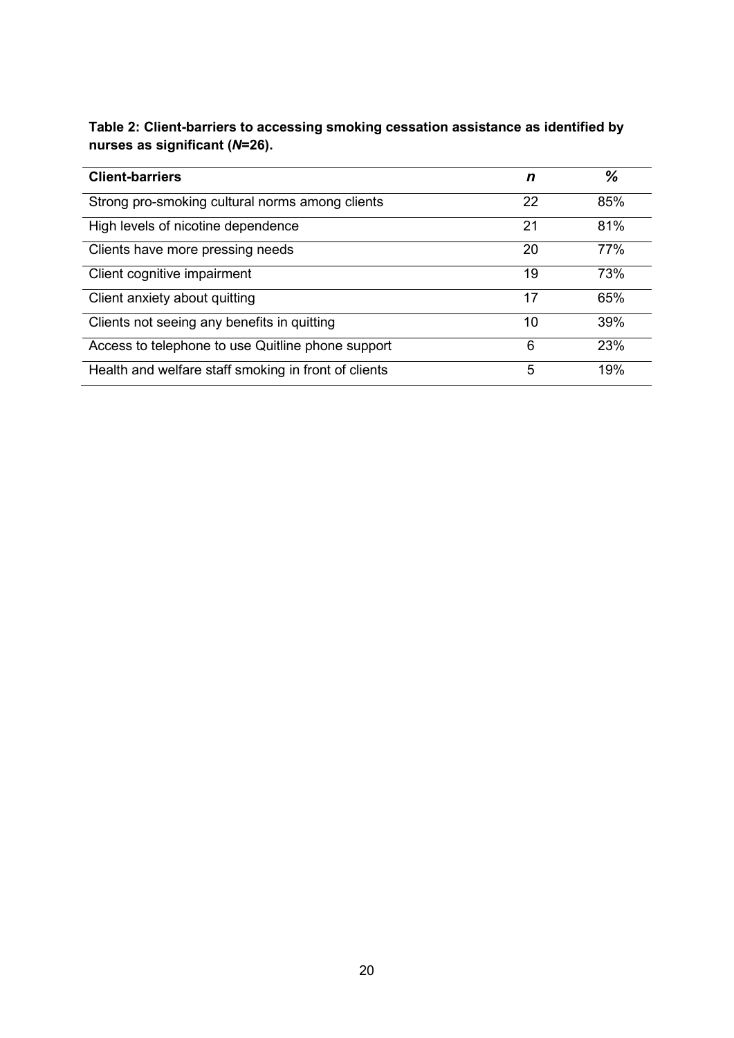| Table 2: Client-barriers to accessing smoking cessation assistance as identified by |
|-------------------------------------------------------------------------------------|
| nurses as significant $(N=26)$ .                                                    |

| <b>Client-barriers</b>                               | n  | ℅   |
|------------------------------------------------------|----|-----|
| Strong pro-smoking cultural norms among clients      | 22 | 85% |
| High levels of nicotine dependence                   | 21 | 81% |
| Clients have more pressing needs                     | 20 | 77% |
| Client cognitive impairment                          | 19 | 73% |
| Client anxiety about quitting                        | 17 | 65% |
| Clients not seeing any benefits in quitting          | 10 | 39% |
| Access to telephone to use Quitline phone support    | 6  | 23% |
| Health and welfare staff smoking in front of clients | 5  | 19% |